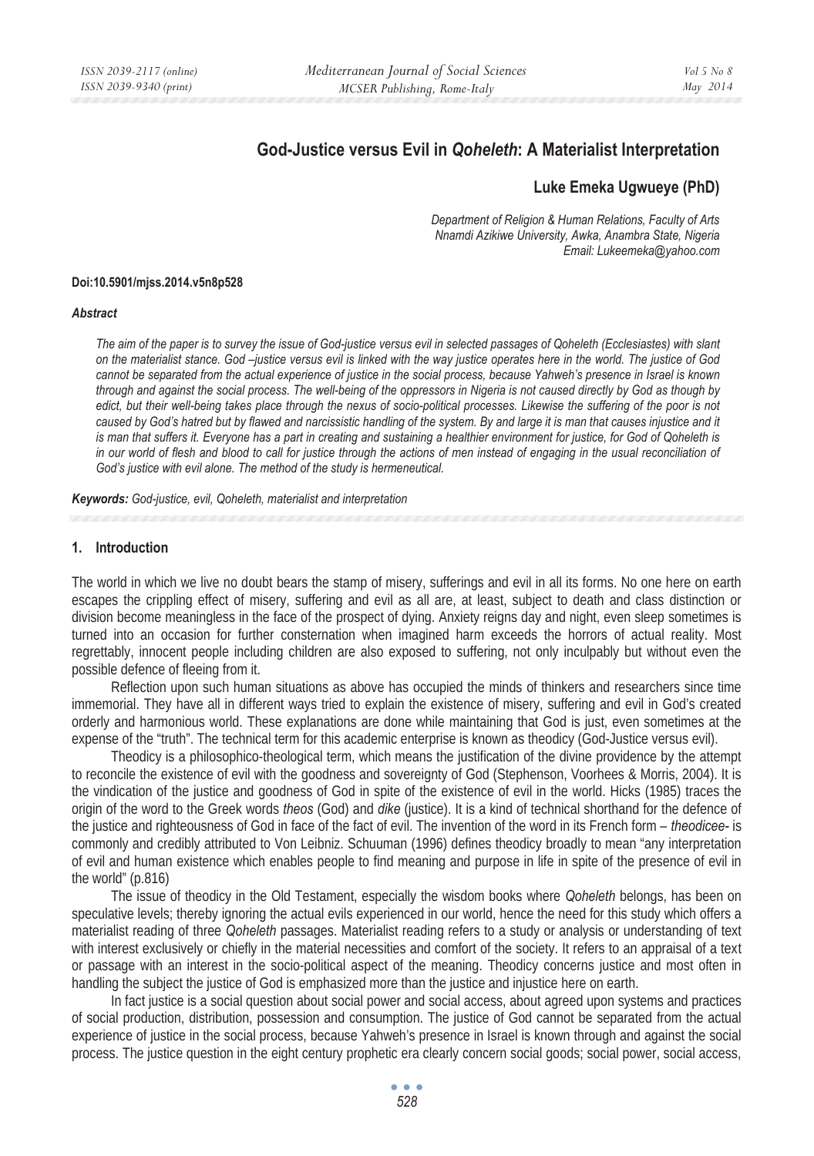# **God-Justice versus Evil in** *Qoheleth***: A Materialist Interpretation**

## **Luke Emeka Ugwueye (PhD)**

*Department of Religion & Human Relations, Faculty of Arts Nnamdi Azikiwe University, Awka, Anambra State, Nigeria Email: Lukeemeka@yahoo.com* 

#### **Doi:10.5901/mjss.2014.v5n8p528**

#### *Abstract*

*The aim of the paper is to survey the issue of God-justice versus evil in selected passages of Qoheleth (Ecclesiastes) with slant on the materialist stance. God –justice versus evil is linked with the way justice operates here in the world. The justice of God cannot be separated from the actual experience of justice in the social process, because Yahweh's presence in Israel is known through and against the social process. The well-being of the oppressors in Nigeria is not caused directly by God as though by*  edict, but their well-being takes place through the nexus of socio-political processes. Likewise the suffering of the poor is not caused by God's hatred but by flawed and narcissistic handling of the system. By and large it is man that causes injustice and it *is man that suffers it. Everyone has a part in creating and sustaining a healthier environment for justice, for God of Qoheleth is* in our world of flesh and blood to call for justice through the actions of men instead of engaging in the usual reconciliation of *God's justice with evil alone. The method of the study is hermeneutical.* 

*Keywords: God-justice, evil, Qoheleth, materialist and interpretation* 

### **1. Introduction**

The world in which we live no doubt bears the stamp of misery, sufferings and evil in all its forms. No one here on earth escapes the crippling effect of misery, suffering and evil as all are, at least, subject to death and class distinction or division become meaningless in the face of the prospect of dying. Anxiety reigns day and night, even sleep sometimes is turned into an occasion for further consternation when imagined harm exceeds the horrors of actual reality. Most regrettably, innocent people including children are also exposed to suffering, not only inculpably but without even the possible defence of fleeing from it.

 Reflection upon such human situations as above has occupied the minds of thinkers and researchers since time immemorial. They have all in different ways tried to explain the existence of misery, suffering and evil in God's created orderly and harmonious world. These explanations are done while maintaining that God is just, even sometimes at the expense of the "truth". The technical term for this academic enterprise is known as theodicy (God-Justice versus evil).

 Theodicy is a philosophico-theological term, which means the justification of the divine providence by the attempt to reconcile the existence of evil with the goodness and sovereignty of God (Stephenson, Voorhees & Morris, 2004). It is the vindication of the justice and goodness of God in spite of the existence of evil in the world. Hicks (1985) traces the origin of the word to the Greek words *theos* (God) and *dike* (justice). It is a kind of technical shorthand for the defence of the justice and righteousness of God in face of the fact of evil. The invention of the word in its French form – *theodicee-* is commonly and credibly attributed to Von Leibniz. Schuuman (1996) defines theodicy broadly to mean "any interpretation of evil and human existence which enables people to find meaning and purpose in life in spite of the presence of evil in the world" (p.816)

 The issue of theodicy in the Old Testament, especially the wisdom books where *Qoheleth* belongs, has been on speculative levels; thereby ignoring the actual evils experienced in our world, hence the need for this study which offers a materialist reading of three *Qoheleth* passages. Materialist reading refers to a study or analysis or understanding of text with interest exclusively or chiefly in the material necessities and comfort of the society. It refers to an appraisal of a text or passage with an interest in the socio-political aspect of the meaning. Theodicy concerns justice and most often in handling the subject the justice of God is emphasized more than the justice and injustice here on earth.

 In fact justice is a social question about social power and social access, about agreed upon systems and practices of social production, distribution, possession and consumption. The justice of God cannot be separated from the actual experience of justice in the social process, because Yahweh's presence in Israel is known through and against the social process. The justice question in the eight century prophetic era clearly concern social goods; social power, social access,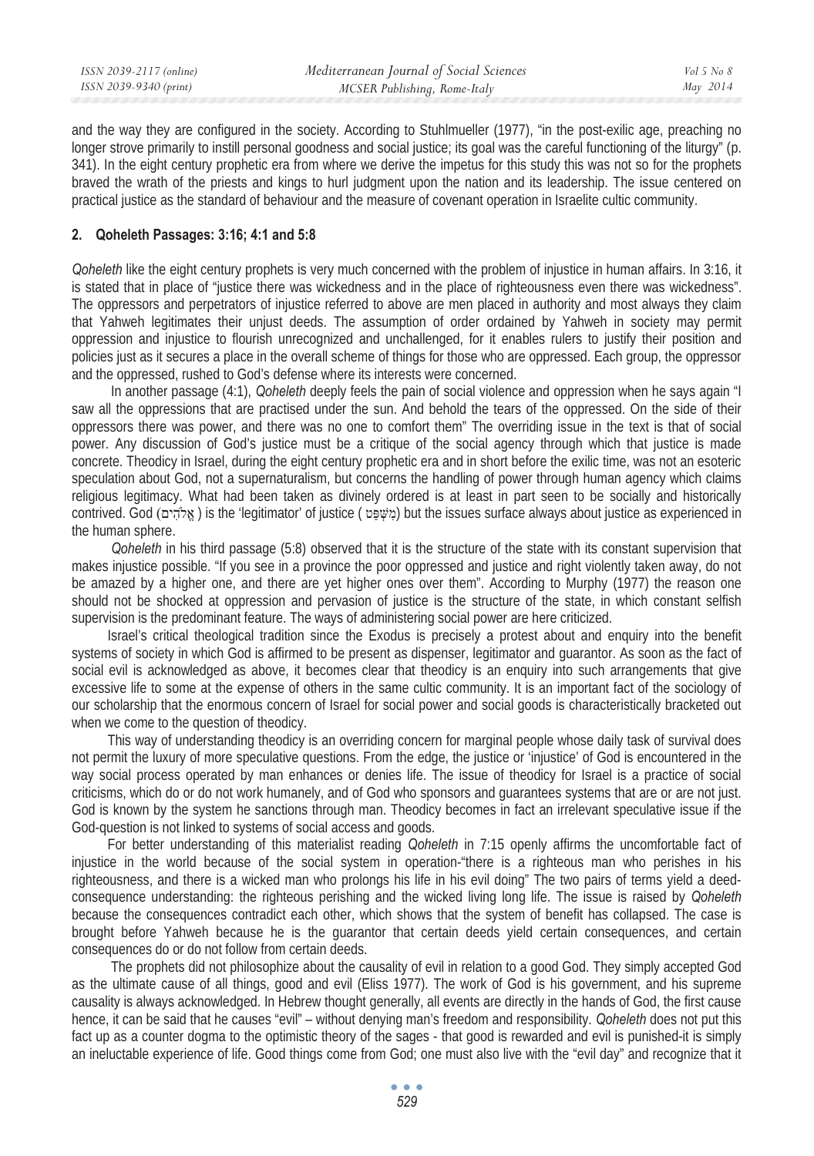| Mediterranean Journal of Social Sciences               |          |
|--------------------------------------------------------|----------|
| ISSN 2039-9340 (print)<br>MCSER Publishing, Rome-Italy | May 2014 |

and the way they are configured in the society. According to Stuhlmueller (1977), "in the post-exilic age, preaching no longer strove primarily to instill personal goodness and social justice; its goal was the careful functioning of the liturgy" (p. 341). In the eight century prophetic era from where we derive the impetus for this study this was not so for the prophets braved the wrath of the priests and kings to hurl judgment upon the nation and its leadership. The issue centered on practical justice as the standard of behaviour and the measure of covenant operation in Israelite cultic community.

### **2. Qoheleth Passages: 3:16; 4:1 and 5:8**

*Qoheleth* like the eight century prophets is very much concerned with the problem of injustice in human affairs. In 3:16, it is stated that in place of "justice there was wickedness and in the place of righteousness even there was wickedness". The oppressors and perpetrators of injustice referred to above are men placed in authority and most always they claim that Yahweh legitimates their unjust deeds. The assumption of order ordained by Yahweh in society may permit oppression and injustice to flourish unrecognized and unchallenged, for it enables rulers to justify their position and policies just as it secures a place in the overall scheme of things for those who are oppressed. Each group, the oppressor and the oppressed, rushed to God's defense where its interests were concerned.

 In another passage (4:1), *Qoheleth* deeply feels the pain of social violence and oppression when he says again "I saw all the oppressions that are practised under the sun. And behold the tears of the oppressed. On the side of their oppressors there was power, and there was no one to comfort them" The overriding issue in the text is that of social power. Any discussion of God's justice must be a critique of the social agency through which that justice is made concrete. Theodicy in Israel, during the eight century prophetic era and in short before the exilic time, was not an esoteric speculation about God, not a supernaturalism, but concerns the handling of power through human agency which claims religious legitimacy. What had been taken as divinely ordered is at least in part seen to be socially and historically contrived. God (ʭʩʤ˄ʑ ʠʎ ) is the 'legitimator' of justice ( ʨ˝ʔ ˉʍ ʮʑ ) but the issues surface always about justice as experienced in the human sphere.

*Qoheleth* in his third passage (5:8) observed that it is the structure of the state with its constant supervision that makes injustice possible. "If you see in a province the poor oppressed and justice and right violently taken away, do not be amazed by a higher one, and there are yet higher ones over them". According to Murphy (1977) the reason one should not be shocked at oppression and pervasion of justice is the structure of the state, in which constant selfish supervision is the predominant feature. The ways of administering social power are here criticized.

Israel's critical theological tradition since the Exodus is precisely a protest about and enquiry into the benefit systems of society in which God is affirmed to be present as dispenser, legitimator and guarantor. As soon as the fact of social evil is acknowledged as above, it becomes clear that theodicy is an enquiry into such arrangements that give excessive life to some at the expense of others in the same cultic community. It is an important fact of the sociology of our scholarship that the enormous concern of Israel for social power and social goods is characteristically bracketed out when we come to the question of theodicy.

This way of understanding theodicy is an overriding concern for marginal people whose daily task of survival does not permit the luxury of more speculative questions. From the edge, the justice or 'injustice' of God is encountered in the way social process operated by man enhances or denies life. The issue of theodicy for Israel is a practice of social criticisms, which do or do not work humanely, and of God who sponsors and guarantees systems that are or are not just. God is known by the system he sanctions through man. Theodicy becomes in fact an irrelevant speculative issue if the God-question is not linked to systems of social access and goods.

For better understanding of this materialist reading *Qoheleth* in 7:15 openly affirms the uncomfortable fact of injustice in the world because of the social system in operation-"there is a righteous man who perishes in his righteousness, and there is a wicked man who prolongs his life in his evil doing" The two pairs of terms yield a deedconsequence understanding: the righteous perishing and the wicked living long life. The issue is raised by *Qoheleth* because the consequences contradict each other, which shows that the system of benefit has collapsed. The case is brought before Yahweh because he is the guarantor that certain deeds yield certain consequences, and certain consequences do or do not follow from certain deeds.

 The prophets did not philosophize about the causality of evil in relation to a good God. They simply accepted God as the ultimate cause of all things, good and evil (Eliss 1977). The work of God is his government, and his supreme causality is always acknowledged. In Hebrew thought generally, all events are directly in the hands of God, the first cause hence, it can be said that he causes "evil" – without denying man's freedom and responsibility. *Qoheleth* does not put this fact up as a counter dogma to the optimistic theory of the sages - that good is rewarded and evil is punished-it is simply an ineluctable experience of life. Good things come from God; one must also live with the "evil day" and recognize that it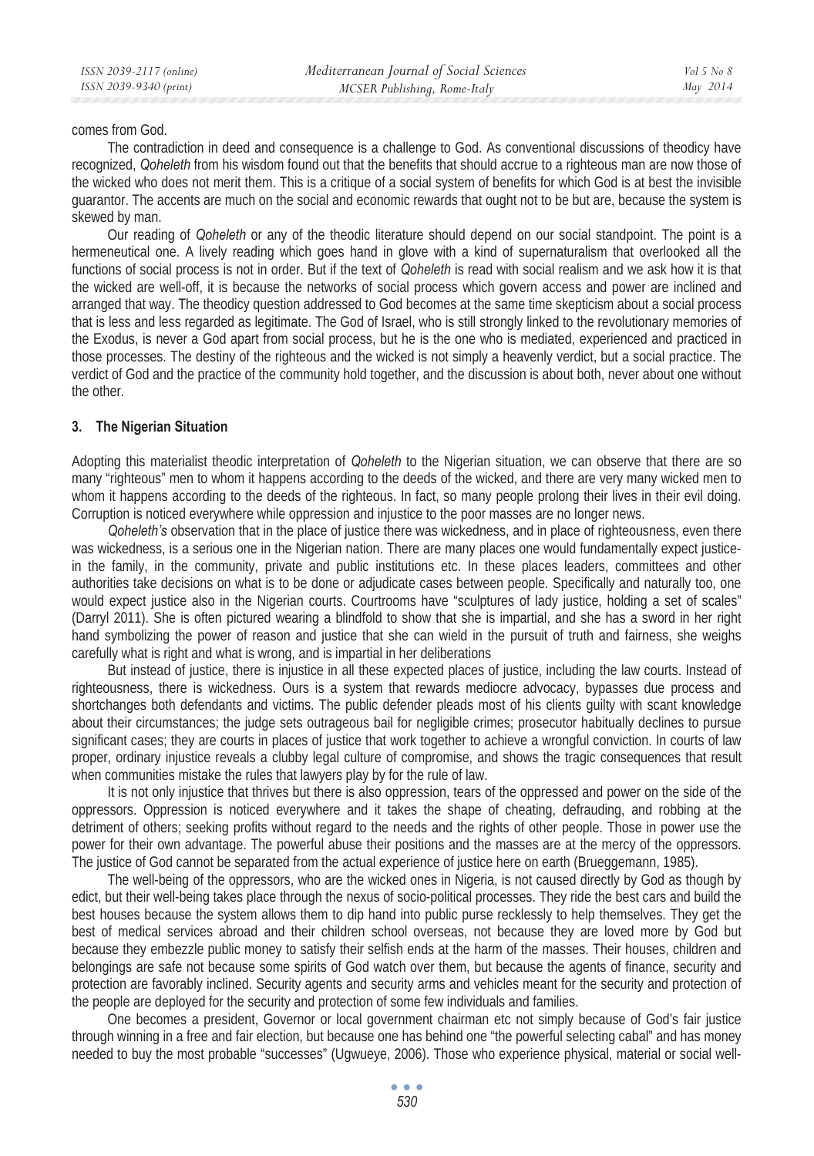#### comes from God.

The contradiction in deed and consequence is a challenge to God. As conventional discussions of theodicy have recognized, *Qoheleth* from his wisdom found out that the benefits that should accrue to a righteous man are now those of the wicked who does not merit them. This is a critique of a social system of benefits for which God is at best the invisible guarantor. The accents are much on the social and economic rewards that ought not to be but are, because the system is skewed by man.

Our reading of *Qoheleth* or any of the theodic literature should depend on our social standpoint. The point is a hermeneutical one. A lively reading which goes hand in glove with a kind of supernaturalism that overlooked all the functions of social process is not in order. But if the text of *Qoheleth* is read with social realism and we ask how it is that the wicked are well-off, it is because the networks of social process which govern access and power are inclined and arranged that way. The theodicy question addressed to God becomes at the same time skepticism about a social process that is less and less regarded as legitimate. The God of Israel, who is still strongly linked to the revolutionary memories of the Exodus, is never a God apart from social process, but he is the one who is mediated, experienced and practiced in those processes. The destiny of the righteous and the wicked is not simply a heavenly verdict, but a social practice. The verdict of God and the practice of the community hold together, and the discussion is about both, never about one without the other.

## **3. The Nigerian Situation**

Adopting this materialist theodic interpretation of *Qoheleth* to the Nigerian situation, we can observe that there are so many "righteous" men to whom it happens according to the deeds of the wicked, and there are very many wicked men to whom it happens according to the deeds of the righteous. In fact, so many people prolong their lives in their evil doing. Corruption is noticed everywhere while oppression and injustice to the poor masses are no longer news.

*Qoheleth's* observation that in the place of justice there was wickedness, and in place of righteousness, even there was wickedness, is a serious one in the Nigerian nation. There are many places one would fundamentally expect justicein the family, in the community, private and public institutions etc. In these places leaders, committees and other authorities take decisions on what is to be done or adjudicate cases between people. Specifically and naturally too, one would expect justice also in the Nigerian courts. Courtrooms have "sculptures of lady justice, holding a set of scales" (Darryl 2011). She is often pictured wearing a blindfold to show that she is impartial, and she has a sword in her right hand symbolizing the power of reason and justice that she can wield in the pursuit of truth and fairness, she weighs carefully what is right and what is wrong, and is impartial in her deliberations

But instead of justice, there is injustice in all these expected places of justice, including the law courts. Instead of righteousness, there is wickedness. Ours is a system that rewards mediocre advocacy, bypasses due process and shortchanges both defendants and victims. The public defender pleads most of his clients guilty with scant knowledge about their circumstances; the judge sets outrageous bail for negligible crimes; prosecutor habitually declines to pursue significant cases; they are courts in places of justice that work together to achieve a wrongful conviction. In courts of law proper, ordinary injustice reveals a clubby legal culture of compromise, and shows the tragic consequences that result when communities mistake the rules that lawyers play by for the rule of law.

It is not only injustice that thrives but there is also oppression, tears of the oppressed and power on the side of the oppressors. Oppression is noticed everywhere and it takes the shape of cheating, defrauding, and robbing at the detriment of others; seeking profits without regard to the needs and the rights of other people. Those in power use the power for their own advantage. The powerful abuse their positions and the masses are at the mercy of the oppressors. The justice of God cannot be separated from the actual experience of justice here on earth (Brueggemann, 1985).

The well-being of the oppressors, who are the wicked ones in Nigeria, is not caused directly by God as though by edict, but their well-being takes place through the nexus of socio-political processes. They ride the best cars and build the best houses because the system allows them to dip hand into public purse recklessly to help themselves. They get the best of medical services abroad and their children school overseas, not because they are loved more by God but because they embezzle public money to satisfy their selfish ends at the harm of the masses. Their houses, children and belongings are safe not because some spirits of God watch over them, but because the agents of finance, security and protection are favorably inclined. Security agents and security arms and vehicles meant for the security and protection of the people are deployed for the security and protection of some few individuals and families.

One becomes a president, Governor or local government chairman etc not simply because of God's fair justice through winning in a free and fair election, but because one has behind one "the powerful selecting cabal" and has money needed to buy the most probable "successes" (Ugwueye, 2006). Those who experience physical, material or social well-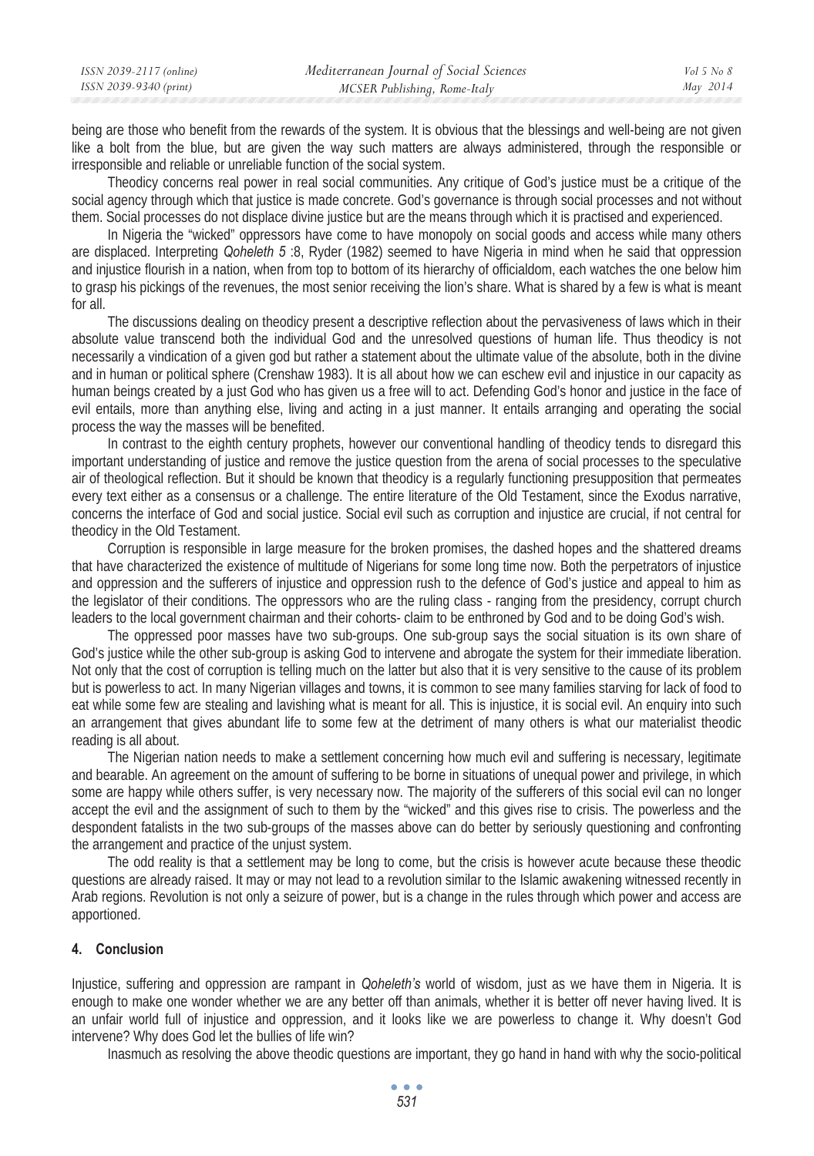| ISSN 2039-2117 (online) | Mediterranean Journal of Social Sciences | $Vol_5$ No 8 |
|-------------------------|------------------------------------------|--------------|
| ISSN 2039-9340 (print)  | MCSER Publishing, Rome-Italy             | May 2014     |
|                         |                                          |              |

being are those who benefit from the rewards of the system. It is obvious that the blessings and well-being are not given like a bolt from the blue, but are given the way such matters are always administered, through the responsible or irresponsible and reliable or unreliable function of the social system.

Theodicy concerns real power in real social communities. Any critique of God's justice must be a critique of the social agency through which that justice is made concrete. God's governance is through social processes and not without them. Social processes do not displace divine justice but are the means through which it is practised and experienced.

In Nigeria the "wicked" oppressors have come to have monopoly on social goods and access while many others are displaced. Interpreting *Qoheleth 5* :8, Ryder (1982) seemed to have Nigeria in mind when he said that oppression and injustice flourish in a nation, when from top to bottom of its hierarchy of officialdom, each watches the one below him to grasp his pickings of the revenues, the most senior receiving the lion's share. What is shared by a few is what is meant for all.

The discussions dealing on theodicy present a descriptive reflection about the pervasiveness of laws which in their absolute value transcend both the individual God and the unresolved questions of human life. Thus theodicy is not necessarily a vindication of a given god but rather a statement about the ultimate value of the absolute, both in the divine and in human or political sphere (Crenshaw 1983). It is all about how we can eschew evil and injustice in our capacity as human beings created by a just God who has given us a free will to act. Defending God's honor and justice in the face of evil entails, more than anything else, living and acting in a just manner. It entails arranging and operating the social process the way the masses will be benefited.

In contrast to the eighth century prophets, however our conventional handling of theodicy tends to disregard this important understanding of justice and remove the justice question from the arena of social processes to the speculative air of theological reflection. But it should be known that theodicy is a regularly functioning presupposition that permeates every text either as a consensus or a challenge. The entire literature of the Old Testament, since the Exodus narrative, concerns the interface of God and social justice. Social evil such as corruption and injustice are crucial, if not central for theodicy in the Old Testament.

Corruption is responsible in large measure for the broken promises, the dashed hopes and the shattered dreams that have characterized the existence of multitude of Nigerians for some long time now. Both the perpetrators of injustice and oppression and the sufferers of injustice and oppression rush to the defence of God's justice and appeal to him as the legislator of their conditions. The oppressors who are the ruling class - ranging from the presidency, corrupt church leaders to the local government chairman and their cohorts- claim to be enthroned by God and to be doing God's wish.

The oppressed poor masses have two sub-groups. One sub-group says the social situation is its own share of God's justice while the other sub-group is asking God to intervene and abrogate the system for their immediate liberation. Not only that the cost of corruption is telling much on the latter but also that it is very sensitive to the cause of its problem but is powerless to act. In many Nigerian villages and towns, it is common to see many families starving for lack of food to eat while some few are stealing and lavishing what is meant for all. This is injustice, it is social evil. An enquiry into such an arrangement that gives abundant life to some few at the detriment of many others is what our materialist theodic reading is all about.

The Nigerian nation needs to make a settlement concerning how much evil and suffering is necessary, legitimate and bearable. An agreement on the amount of suffering to be borne in situations of unequal power and privilege, in which some are happy while others suffer, is very necessary now. The majority of the sufferers of this social evil can no longer accept the evil and the assignment of such to them by the "wicked" and this gives rise to crisis. The powerless and the despondent fatalists in the two sub-groups of the masses above can do better by seriously questioning and confronting the arrangement and practice of the unjust system.

The odd reality is that a settlement may be long to come, but the crisis is however acute because these theodic questions are already raised. It may or may not lead to a revolution similar to the Islamic awakening witnessed recently in Arab regions. Revolution is not only a seizure of power, but is a change in the rules through which power and access are apportioned.

## **4. Conclusion**

Injustice, suffering and oppression are rampant in *Qoheleth's* world of wisdom, just as we have them in Nigeria. It is enough to make one wonder whether we are any better off than animals, whether it is better off never having lived. It is an unfair world full of injustice and oppression, and it looks like we are powerless to change it. Why doesn't God intervene? Why does God let the bullies of life win?

Inasmuch as resolving the above theodic questions are important, they go hand in hand with why the socio-political